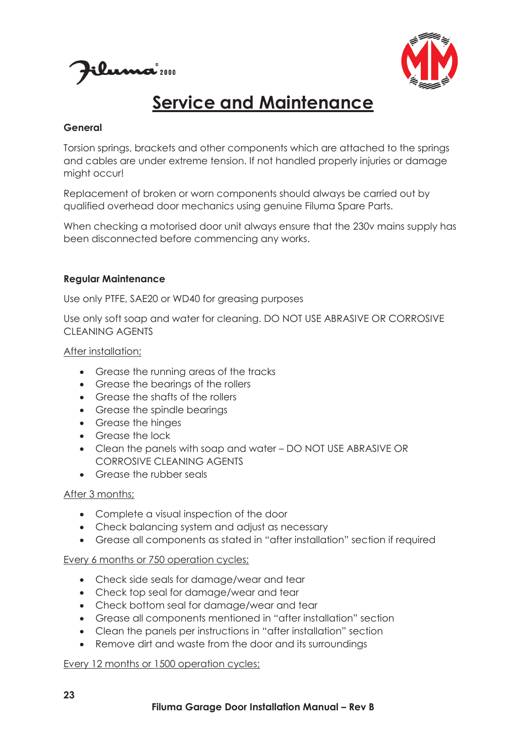



# **Service and Maintenance**

#### **General**

Torsion springs, brackets and other components which are attached to the springs and cables are under extreme tension. If not handled properly injuries or damage might occur!

Replacement of broken or worn components should always be carried out by qualified overhead door mechanics using genuine Filuma Spare Parts.

When checking a motorised door unit always ensure that the 230v mains supply has been disconnected before commencing any works.

#### **Regular Maintenance**

Use only PTFE, SAE20 or WD40 for greasing purposes

Use only soft soap and water for cleaning. DO NOT USE ABRASIVE OR CORROSIVE CLEANING AGENTS

After installation;

- · Grease the running areas of the tracks
- Grease the bearings of the rollers
- · Grease the shafts of the rollers
- · Grease the spindle bearings
- · Grease the hinges
- Grease the lock
- · Clean the panels with soap and water DO NOT USE ABRASIVE OR CORROSIVE CLEANING AGENTS
- Grease the rubber seals

### After 3 months;

- · Complete a visual inspection of the door
- · Check balancing system and adjust as necessary
- · Grease all components as stated in "after installation" section if required

### Every 6 months or 750 operation cycles;

- · Check side seals for damage/wear and tear
- · Check top seal for damage/wear and tear
- · Check bottom seal for damage/wear and tear
- · Grease all components mentioned in "after installation" section
- · Clean the panels per instructions in "after installation" section
- · Remove dirt and waste from the door and its surroundings

### Every 12 months or 1500 operation cycles;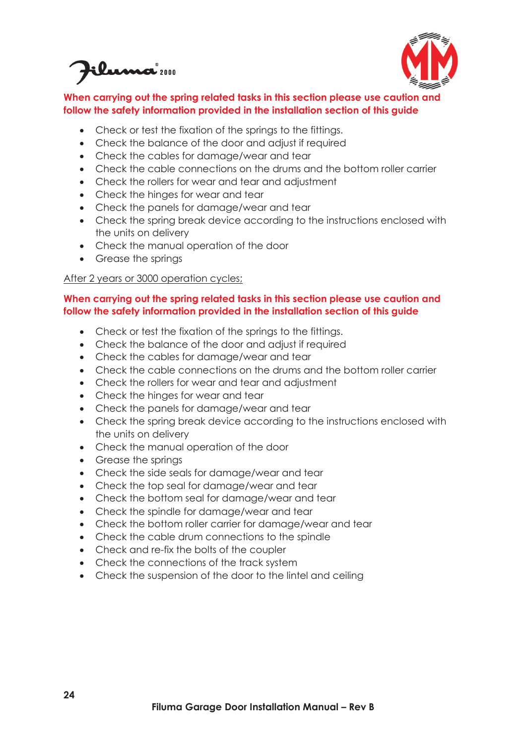Eluma 2000



# **When carrying out the spring related tasks in this section please use caution and follow the safety information provided in the installation section of this guide**

- · Check or test the fixation of the springs to the fittings.
- · Check the balance of the door and adjust if required
- · Check the cables for damage/wear and tear
- · Check the cable connections on the drums and the bottom roller carrier
- · Check the rollers for wear and tear and adjustment
- · Check the hinges for wear and tear
- · Check the panels for damage/wear and tear
- · Check the spring break device according to the instructions enclosed with the units on delivery
- · Check the manual operation of the door
- · Grease the springs

## After 2 years or 3000 operation cycles:

#### **When carrying out the spring related tasks in this section please use caution and follow the safety information provided in the installation section of this guide**

- Check or test the fixation of the springs to the fittings.
- Check the balance of the door and adjust if required
- · Check the cables for damage/wear and tear
- · Check the cable connections on the drums and the bottom roller carrier
- · Check the rollers for wear and tear and adjustment
- · Check the hinges for wear and tear
- · Check the panels for damage/wear and tear
- · Check the spring break device according to the instructions enclosed with the units on delivery
- · Check the manual operation of the door
- Grease the springs
- · Check the side seals for damage/wear and tear
- · Check the top seal for damage/wear and tear
- · Check the bottom seal for damage/wear and tear
- · Check the spindle for damage/wear and tear
- · Check the bottom roller carrier for damage/wear and tear
- · Check the cable drum connections to the spindle
- · Check and re-fix the bolts of the coupler
- Check the connections of the track system
- · Check the suspension of the door to the lintel and ceiling